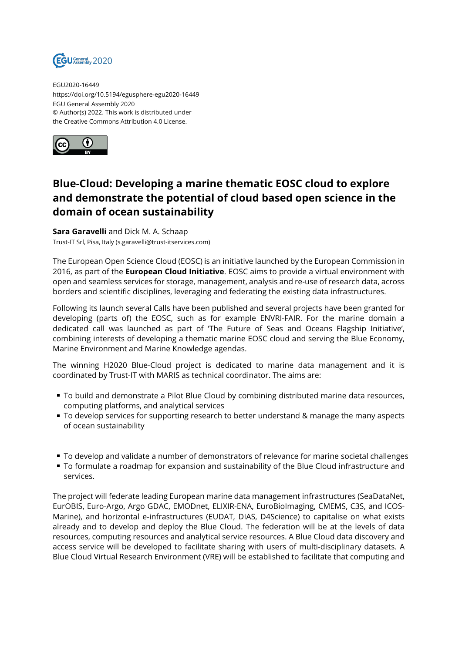

EGU2020-16449 https://doi.org/10.5194/egusphere-egu2020-16449 EGU General Assembly 2020 © Author(s) 2022. This work is distributed under the Creative Commons Attribution 4.0 License.



## **Blue-Cloud: Developing a marine thematic EOSC cloud to explore and demonstrate the potential of cloud based open science in the domain of ocean sustainability**

**Sara Garavelli** and Dick M. A. Schaap Trust-IT Srl, Pisa, Italy (s.garavelli@trust-itservices.com)

The European Open Science Cloud (EOSC) is an initiative launched by the European Commission in 2016, as part of the **European Cloud Initiative**. EOSC aims to provide a virtual environment with open and seamless services for storage, management, analysis and re-use of research data, across borders and scientific disciplines, leveraging and federating the existing data infrastructures.

Following its launch several Calls have been published and several projects have been granted for developing (parts of) the EOSC, such as for example ENVRI-FAIR. For the marine domain a dedicated call was launched as part of 'The Future of Seas and Oceans Flagship Initiative', combining interests of developing a thematic marine EOSC cloud and serving the Blue Economy, Marine Environment and Marine Knowledge agendas.

The winning H2020 Blue-Cloud project is dedicated to marine data management and it is coordinated by Trust-IT with MARIS as technical coordinator. The aims are:

- To build and demonstrate a Pilot Blue Cloud by combining distributed marine data resources, computing platforms, and analytical services
- $\blacksquare$  To develop services for supporting research to better understand & manage the many aspects of ocean sustainability
- To develop and validate a number of demonstrators of relevance for marine societal challenges
- To formulate a roadmap for expansion and sustainability of the Blue Cloud infrastructure and services.

The project will federate leading European marine data management infrastructures (SeaDataNet, EurOBIS, Euro-Argo, Argo GDAC, EMODnet, ELIXIR-ENA, EuroBioImaging, CMEMS, C3S, and ICOS-Marine), and horizontal e-infrastructures (EUDAT, DIAS, D4Science) to capitalise on what exists already and to develop and deploy the Blue Cloud. The federation will be at the levels of data resources, computing resources and analytical service resources. A Blue Cloud data discovery and access service will be developed to facilitate sharing with users of multi-disciplinary datasets. A Blue Cloud Virtual Research Environment (VRE) will be established to facilitate that computing and